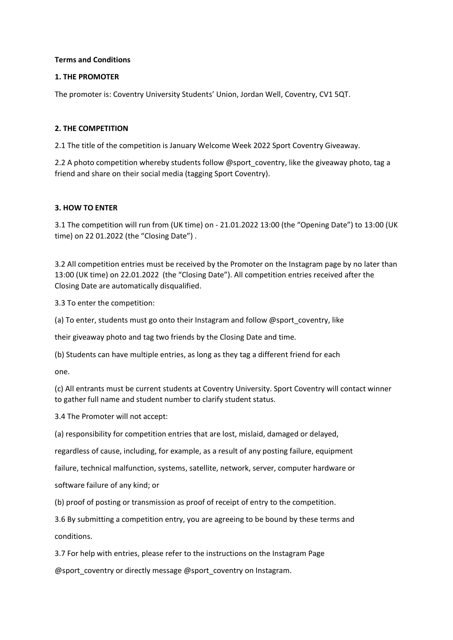# **Terms and Conditions**

# **1. THE PROMOTER**

The promoter is: Coventry University Students' Union, Jordan Well, Coventry, CV1 5QT.

# **2. THE COMPETITION**

2.1 The title of the competition is January Welcome Week 2022 Sport Coventry Giveaway.

2.2 A photo competition whereby students follow @sport\_coventry, like the giveaway photo, tag a friend and share on their social media (tagging Sport Coventry).

# **3. HOW TO ENTER**

3.1 The competition will run from (UK time) on - 21.01.2022 13:00 (the "Opening Date") to 13:00 (UK time) on 22 01.2022 (the "Closing Date") .

3.2 All competition entries must be received by the Promoter on the Instagram page by no later than 13:00 (UK time) on 22.01.2022 (the "Closing Date"). All competition entries received after the Closing Date are automatically disqualified.

3.3 To enter the competition:

(a) To enter, students must go onto their Instagram and follow @sport\_coventry, like

their giveaway photo and tag two friends by the Closing Date and time.

(b) Students can have multiple entries, as long as they tag a different friend for each

one.

(c) All entrants must be current students at Coventry University. Sport Coventry will contact winner to gather full name and student number to clarify student status.

3.4 The Promoter will not accept:

(a) responsibility for competition entries that are lost, mislaid, damaged or delayed,

regardless of cause, including, for example, as a result of any posting failure, equipment

failure, technical malfunction, systems, satellite, network, server, computer hardware or

software failure of any kind; or

(b) proof of posting or transmission as proof of receipt of entry to the competition.

3.6 By submitting a competition entry, you are agreeing to be bound by these terms and conditions.

3.7 For help with entries, please refer to the instructions on the Instagram Page

@sport\_coventry or directly message @sport\_coventry on Instagram.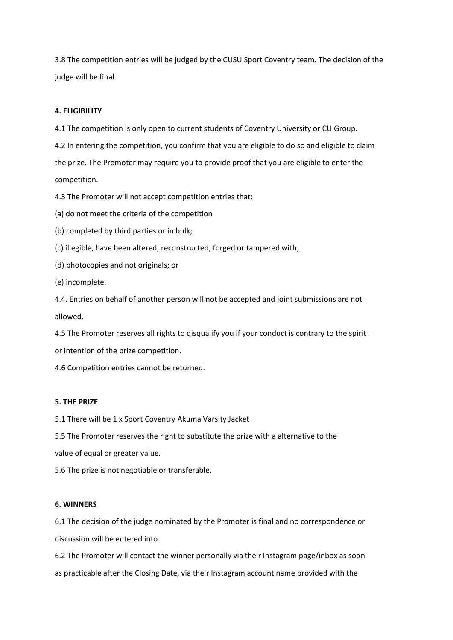3.8 The competition entries will be judged by the CUSU Sport Coventry team. The decision of the judge will be final.

## **4. ELIGIBILITY**

4.1 The competition is only open to current students of Coventry University or CU Group.

4.2 In entering the competition, you confirm that you are eligible to do so and eligible to claim the prize. The Promoter may require you to provide proof that you are eligible to enter the competition.

4.3 The Promoter will not accept competition entries that:

(a) do not meet the criteria of the competition

(b) completed by third parties or in bulk;

(c) illegible, have been altered, reconstructed, forged or tampered with;

(d) photocopies and not originals; or

(e) incomplete.

4.4. Entries on behalf of another person will not be accepted and joint submissions are not allowed.

4.5 The Promoter reserves all rights to disqualify you if your conduct is contrary to the spirit or intention of the prize competition.

4.6 Competition entries cannot be returned.

#### **5. THE PRIZE**

5.1 There will be 1 x Sport Coventry Akuma Varsity Jacket

5.5 The Promoter reserves the right to substitute the prize with a alternative to the

value of equal or greater value.

5.6 The prize is not negotiable or transferable.

### **6. WINNERS**

6.1 The decision of the judge nominated by the Promoter is final and no correspondence or discussion will be entered into.

6.2 The Promoter will contact the winner personally via their Instagram page/inbox as soon as practicable after the Closing Date, via their Instagram account name provided with the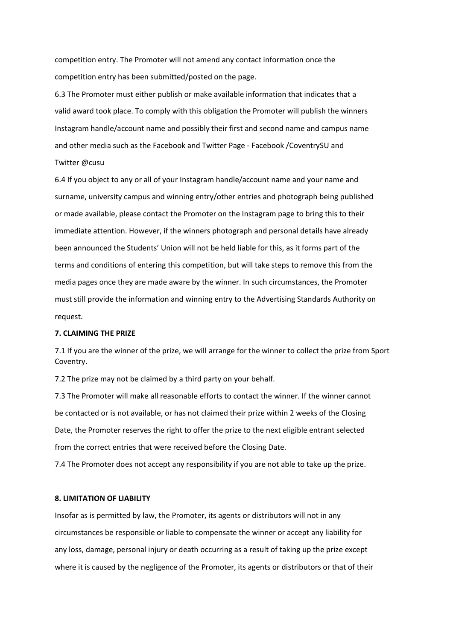competition entry. The Promoter will not amend any contact information once the competition entry has been submitted/posted on the page.

6.3 The Promoter must either publish or make available information that indicates that a valid award took place. To comply with this obligation the Promoter will publish the winners Instagram handle/account name and possibly their first and second name and campus name and other media such as the Facebook and Twitter Page - Facebook /CoventrySU and Twitter @cusu

6.4 If you object to any or all of your Instagram handle/account name and your name and surname, university campus and winning entry/other entries and photograph being published or made available, please contact the Promoter on the Instagram page to bring this to their immediate attention. However, if the winners photograph and personal details have already been announced the Students' Union will not be held liable for this, as it forms part of the terms and conditions of entering this competition, but will take steps to remove this from the media pages once they are made aware by the winner. In such circumstances, the Promoter must still provide the information and winning entry to the Advertising Standards Authority on request.

#### **7. CLAIMING THE PRIZE**

7.1 If you are the winner of the prize, we will arrange for the winner to collect the prize from Sport Coventry.

7.2 The prize may not be claimed by a third party on your behalf.

7.3 The Promoter will make all reasonable efforts to contact the winner. If the winner cannot be contacted or is not available, or has not claimed their prize within 2 weeks of the Closing Date, the Promoter reserves the right to offer the prize to the next eligible entrant selected from the correct entries that were received before the Closing Date.

7.4 The Promoter does not accept any responsibility if you are not able to take up the prize.

### **8. LIMITATION OF LIABILITY**

Insofar as is permitted by law, the Promoter, its agents or distributors will not in any circumstances be responsible or liable to compensate the winner or accept any liability for any loss, damage, personal injury or death occurring as a result of taking up the prize except where it is caused by the negligence of the Promoter, its agents or distributors or that of their